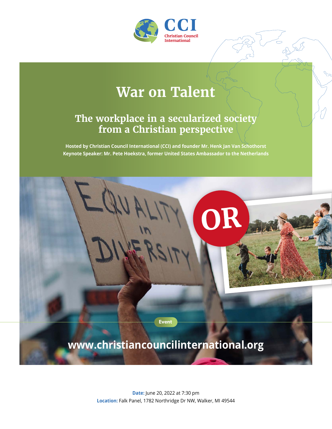

## **War on Talent**

## **The workplace in a secularized society from a Christian perspective**

**Hosted by Christian Council International (CCI) and founder Mr. Henk Jan Van Schothorst Keynote Speaker: Mr. Pete Hoekstra, former United States Ambassador to the Netherlands**



**Date:** June 20, 2022 at 7:30 pm **Location:** Falk Panel, 1782 Northridge Dr NW, Walker, MI 49544